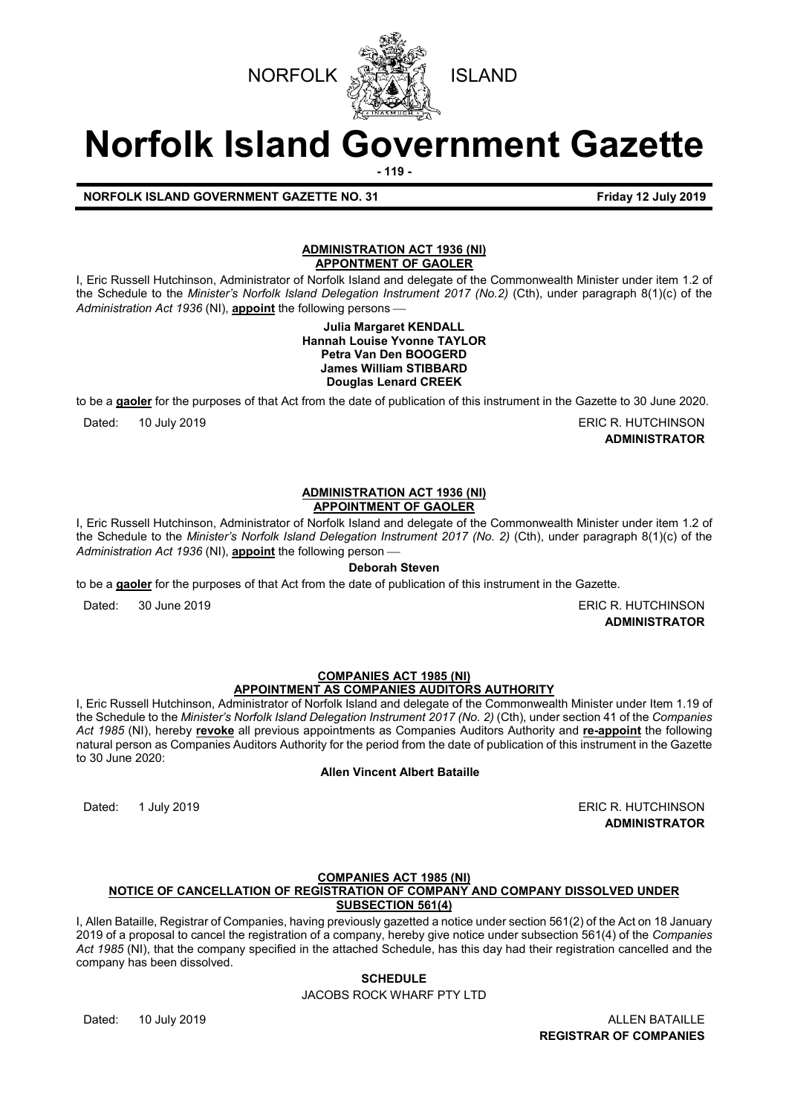



# **Norfolk Island Government Gazette**

**- 119 -**

# **NORFOLK ISLAND GOVERNMENT GAZETTE NO. 31 Friday 12 July 2019**

# **ADMINISTRATION ACT 1936 (NI) APPONTMENT OF GAOLER**

I, Eric Russell Hutchinson, Administrator of Norfolk Island and delegate of the Commonwealth Minister under item 1.2 of the Schedule to the *Minister's Norfolk Island Delegation Instrument 2017 (No.2)* (Cth), under paragraph 8(1)(c) of the *Administration Act 1936* (NI), **appoint** the following persons

#### **Julia Margaret KENDALL Hannah Louise Yvonne TAYLOR Petra Van Den BOOGERD James William STIBBARD Douglas Lenard CREEK**

to be a **gaoler** for the purposes of that Act from the date of publication of this instrument in the Gazette to 30 June 2020.

Dated: 10 July 2019 **ERIC R. HUTCHINSON** 

**ADMINISTRATOR**

#### **ADMINISTRATION ACT 1936 (NI) APPOINTMENT OF GAOLER**

I, Eric Russell Hutchinson, Administrator of Norfolk Island and delegate of the Commonwealth Minister under item 1.2 of the Schedule to the *Minister's Norfolk Island Delegation Instrument 2017 (No. 2)* (Cth), under paragraph 8(1)(c) of the *Administration Act 1936* (NI), **appoint** the following person

# **Deborah Steven**

to be a **gaoler** for the purposes of that Act from the date of publication of this instrument in the Gazette.

Dated: 30 June 2019 **ERIC R. HUTCHINSON** 

**ADMINISTRATOR**

# **COMPANIES ACT 1985 (NI) APPOINTMENT AS COMPANIES AUDITORS AUTHORITY**

I, Eric Russell Hutchinson, Administrator of Norfolk Island and delegate of the Commonwealth Minister under Item 1.19 of the Schedule to the *Minister's Norfolk Island Delegation Instrument 2017 (No. 2)* (Cth), under section 41 of the *Companies Act 1985* (NI), hereby **revoke** all previous appointments as Companies Auditors Authority and **re-appoint** the following natural person as Companies Auditors Authority for the period from the date of publication of this instrument in the Gazette to 30 June 2020:

# **Allen Vincent Albert Bataille**

Dated: 1 July 2019 **ERIC R. HUTCHINSON ADMINISTRATOR**

# **COMPANIES ACT 1985 (NI)**

# **NOTICE OF CANCELLATION OF REGISTRATION OF COMPANY AND COMPANY DISSOLVED UNDER SUBSECTION 561(4)**

I, Allen Bataille, Registrar of Companies, having previously gazetted a notice under section 561(2) of the Act on 18 January 2019 of a proposal to cancel the registration of a company, hereby give notice under subsection 561(4) of the *Companies Act 1985* (NI), that the company specified in the attached Schedule, has this day had their registration cancelled and the company has been dissolved.

# **SCHEDULE**

JACOBS ROCK WHARF PTY LTD

Dated: 10 July 2019 ALLEN BATAILLE **REGISTRAR OF COMPANIES**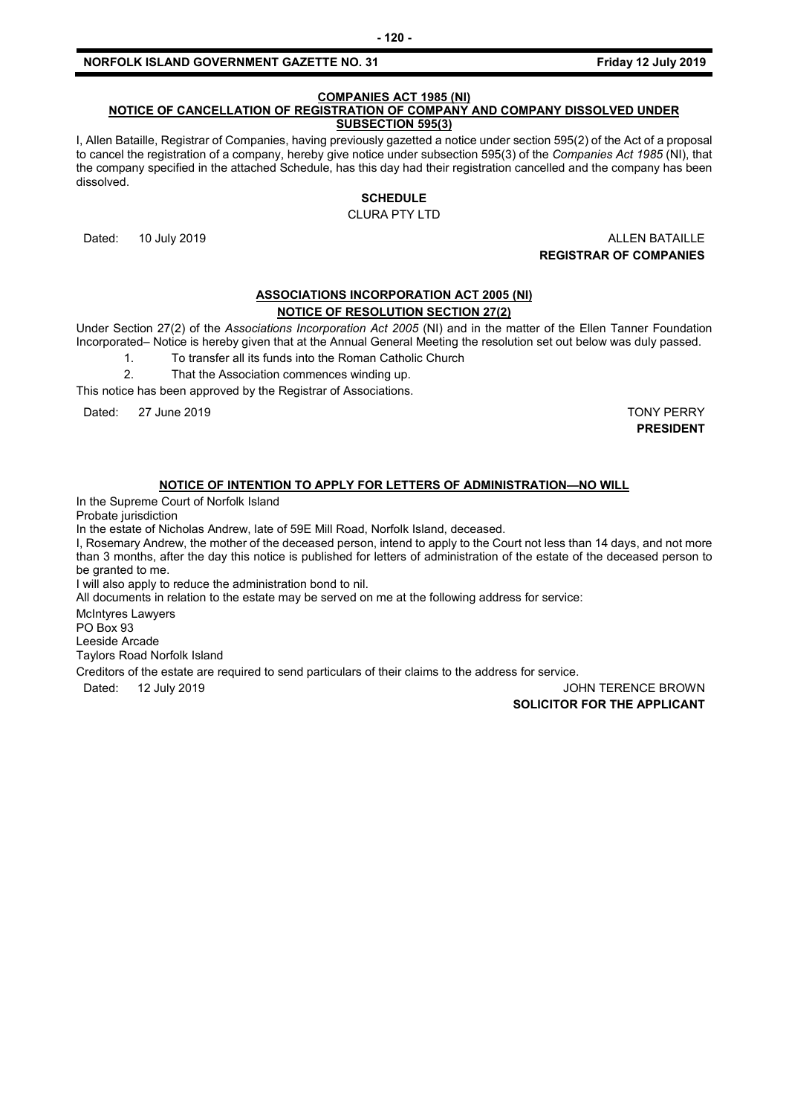# **COMPANIES ACT 1985 (NI)**

#### **NOTICE OF CANCELLATION OF REGISTRATION OF COMPANY AND COMPANY DISSOLVED UNDER SUBSECTION 595(3)**

I, Allen Bataille, Registrar of Companies, having previously gazetted a notice under section 595(2) of the Act of a proposal to cancel the registration of a company, hereby give notice under subsection 595(3) of the *Companies Act 1985* (NI), that the company specified in the attached Schedule, has this day had their registration cancelled and the company has been dissolved.

# **SCHEDULE**

CLURA PTY LTD

Dated: 10 July 2019 ALLEN BATAILLE **REGISTRAR OF COMPANIES**

# **ASSOCIATIONS INCORPORATION ACT 2005 (NI) NOTICE OF RESOLUTION SECTION 27(2)**

Under Section 27(2) of the *Associations Incorporation Act 2005* (NI) and in the matter of the Ellen Tanner Foundation Incorporated– Notice is hereby given that at the Annual General Meeting the resolution set out below was duly passed.

1. To transfer all its funds into the Roman Catholic Church

2. That the Association commences winding up.

This notice has been approved by the Registrar of Associations.

Dated: 27 June 2019 TONY PERRY

**PRESIDENT**

# **NOTICE OF INTENTION TO APPLY FOR LETTERS OF ADMINISTRATION—NO WILL**

In the Supreme Court of Norfolk Island

Probate jurisdiction

In the estate of Nicholas Andrew, late of 59E Mill Road, Norfolk Island, deceased.

I, Rosemary Andrew, the mother of the deceased person, intend to apply to the Court not less than 14 days, and not more than 3 months, after the day this notice is published for letters of administration of the estate of the deceased person to be granted to me.

I will also apply to reduce the administration bond to nil.

All documents in relation to the estate may be served on me at the following address for service:

McIntyres Lawyers PO Box 93 Leeside Arcade Taylors Road Norfolk Island

Creditors of the estate are required to send particulars of their claims to the address for service.

Dated: 12 July 2019 12 July 2019

#### **SOLICITOR FOR THE APPLICANT**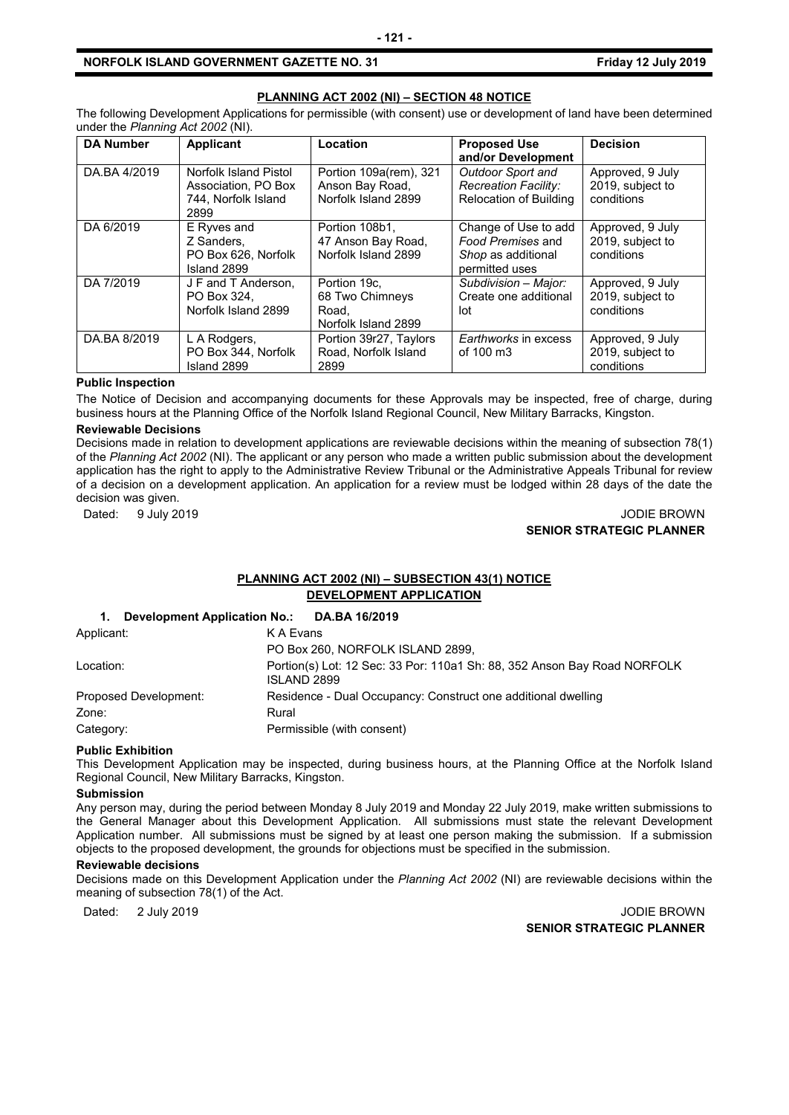#### **PLANNING ACT 2002 (NI) – SECTION 48 NOTICE**

The following Development Applications for permissible (with consent) use or development of land have been determined under the *Planning Act 2002* (NI).

| <b>DA Number</b> | Applicant                                                                   | Location                                                         | <b>Proposed Use</b><br>and/or Development                                         | <b>Decision</b>                                    |
|------------------|-----------------------------------------------------------------------------|------------------------------------------------------------------|-----------------------------------------------------------------------------------|----------------------------------------------------|
| DA.BA 4/2019     | Norfolk Island Pistol<br>Association, PO Box<br>744. Norfolk Island<br>2899 | Portion 109a(rem), 321<br>Anson Bay Road,<br>Norfolk Island 2899 | Outdoor Sport and<br>Recreation Facility:<br><b>Relocation of Building</b>        | Approved, 9 July<br>2019, subject to<br>conditions |
| DA 6/2019        | E Ryves and<br>Z Sanders,<br>PO Box 626. Norfolk<br>Island 2899             | Portion 108b1.<br>47 Anson Bay Road,<br>Norfolk Island 2899      | Change of Use to add<br>Food Premises and<br>Shop as additional<br>permitted uses | Approved, 9 July<br>2019, subject to<br>conditions |
| DA 7/2019        | J F and T Anderson,<br>PO Box 324.<br>Norfolk Island 2899                   | Portion 19c,<br>68 Two Chimneys<br>Road.<br>Norfolk Island 2899  | Subdivision - Major:<br>Create one additional<br>lot                              | Approved, 9 July<br>2019, subject to<br>conditions |
| DA.BA 8/2019     | L A Rodgers,<br>PO Box 344, Norfolk<br>Island 2899                          | Portion 39r27, Taylors<br>Road, Norfolk Island<br>2899           | Earthworks in excess<br>of 100 m3                                                 | Approved, 9 July<br>2019, subject to<br>conditions |

# **Public Inspection**

The Notice of Decision and accompanying documents for these Approvals may be inspected, free of charge, during business hours at the Planning Office of the Norfolk Island Regional Council, New Military Barracks, Kingston.

#### **Reviewable Decisions**

Decisions made in relation to development applications are reviewable decisions within the meaning of subsection 78(1) of the *Planning Act 2002* (NI). The applicant or any person who made a written public submission about the development application has the right to apply to the Administrative Review Tribunal or the Administrative Appeals Tribunal for review of a decision on a development application. An application for a review must be lodged within 28 days of the date the decision was given.

# Dated: 9 July 2019 **Dated: 9 July 2019 SENIOR STRATEGIC PLANNER**

# **PLANNING ACT 2002 (NI) – SUBSECTION 43(1) NOTICE DEVELOPMENT APPLICATION**

# **1. Development Application No.: DA.BA 16/2019**

| Applicant:            | K A Evans                                                                               |
|-----------------------|-----------------------------------------------------------------------------------------|
|                       | PO Box 260, NORFOLK ISLAND 2899,                                                        |
| Location:             | Portion(s) Lot: 12 Sec: 33 Por: 110a1 Sh: 88, 352 Anson Bay Road NORFOLK<br>ISLAND 2899 |
| Proposed Development: | Residence - Dual Occupancy: Construct one additional dwelling                           |
| Zone:                 | Rural                                                                                   |
| Category:             | Permissible (with consent)                                                              |

#### **Public Exhibition**

This Development Application may be inspected, during business hours, at the Planning Office at the Norfolk Island Regional Council, New Military Barracks, Kingston.

#### **Submission**

Any person may, during the period between Monday 8 July 2019 and Monday 22 July 2019, make written submissions to the General Manager about this Development Application. All submissions must state the relevant Development Application number. All submissions must be signed by at least one person making the submission. If a submission objects to the proposed development, the grounds for objections must be specified in the submission.

#### **Reviewable decisions**

Decisions made on this Development Application under the *Planning Act 2002* (NI) are reviewable decisions within the meaning of subsection 78(1) of the Act.

Dated: 2 July 2019 2019 2000 12:00 12:00 12:00 12:00 12:00 12:00 12:00 12:00 12:00 12:00 12:00 12:00 12:00 12:00 12:00 12:00 12:00 12:00 12:00 12:00 12:00 12:00 12:00 12:00 12:00 12:00 12:00 12:00 12:00 12:00 12:00 12:00 1 **SENIOR STRATEGIC PLANNER**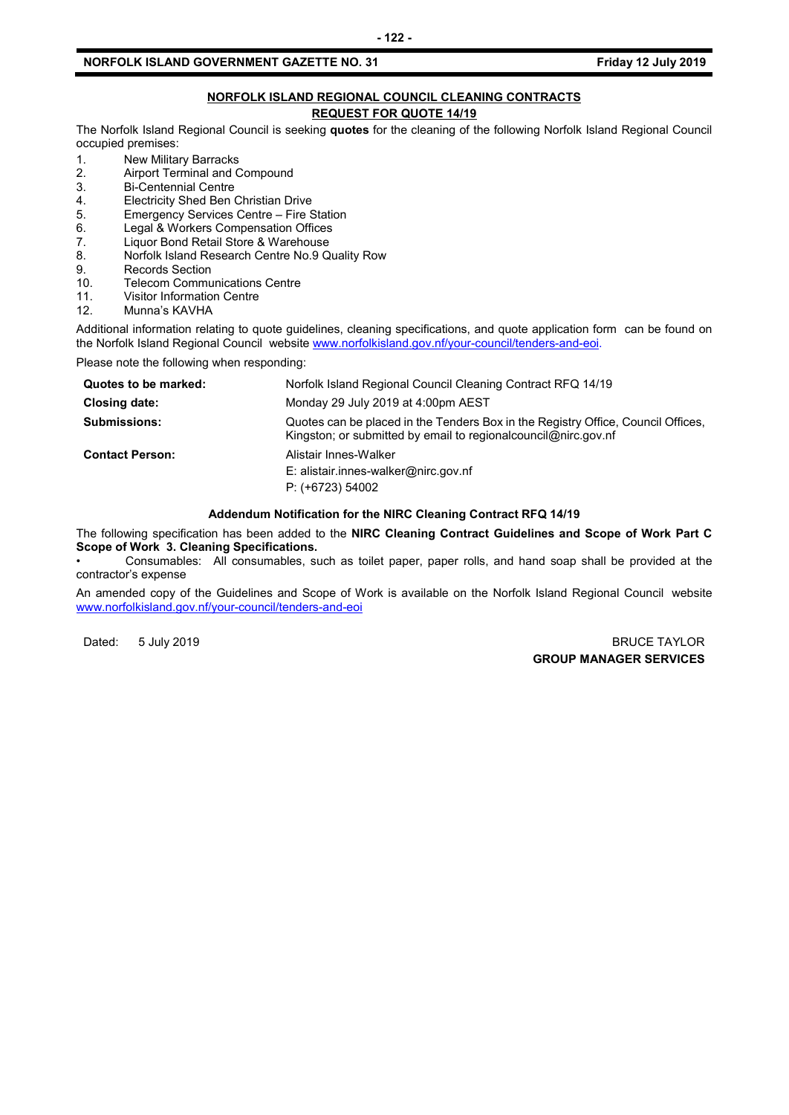# **NORFOLK ISLAND REGIONAL COUNCIL CLEANING CONTRACTS REQUEST FOR QUOTE 14/19**

The Norfolk Island Regional Council is seeking **quotes** for the cleaning of the following Norfolk Island Regional Council occupied premises:

- 1. New Military Barracks<br>2. Airport Terminal and C
- 2. Airport Terminal and Compound<br>3. Bi-Centennial Centre
- 3. Bi-Centennial Centre<br>4. Electricity Shed Ben
- 4. Electricity Shed Ben Christian Drive<br>5. Emergency Services Centre Fire S
- 5. Emergency Services Centre Fire Station<br>6. Legal & Workers Compensation Offices
- 6. Legal & Workers Compensation Offices<br>7. Liquor Bond Retail Store & Warehouse
- 7. Liquor Bond Retail Store & Warehouse<br>8. Norfolk Island Research Centre No.9 Q
- Norfolk Island Research Centre No.9 Quality Row
- 9. Records Section<br>10. Telecom Commu
- 10. Telecom Communications Centre<br>11. Visitor Information Centre
- 11. Visitor Information Centre<br>12. Munna's KAVHA
- Munna's KAVHA

Additional information relating to quote guidelines, cleaning specifications, and quote application form can be found on the Norfolk Island Regional Council website [www.norfolkisland.gov.nf/your-council/tenders-and-eoi.](http://www.norfolkisland.gov.nf/your-council/tenders-and-eoi)

Please note the following when responding:

| Quotes to be marked:   | Norfolk Island Regional Council Cleaning Contract RFQ 14/19                                                                                          |
|------------------------|------------------------------------------------------------------------------------------------------------------------------------------------------|
| Closing date:          | Monday 29 July 2019 at 4:00pm AEST                                                                                                                   |
| <b>Submissions:</b>    | Quotes can be placed in the Tenders Box in the Registry Office, Council Offices,<br>Kingston; or submitted by email to regional council @nirc.gov.nf |
| <b>Contact Person:</b> | Alistair Innes-Walker<br>E: alistair.innes-walker@nirc.gov.nf<br>$P: (+6723) 54002$                                                                  |

# **Addendum Notification for the NIRC Cleaning Contract RFQ 14/19**

The following specification has been added to the **NIRC Cleaning Contract Guidelines and Scope of Work Part C Scope of Work 3. Cleaning Specifications.** 

• Consumables: All consumables, such as toilet paper, paper rolls, and hand soap shall be provided at the contractor's expense

An amended copy of the Guidelines and Scope of Work is available on the Norfolk Island Regional Council website [www.norfolkisland.gov.nf/your-council/tenders-and-eoi](http://www.norfolkisland.gov.nf/your-council/tenders-and-eoi)

Dated: 5 July 2019 BRUCE TAYLOR **GROUP MANAGER SERVICES**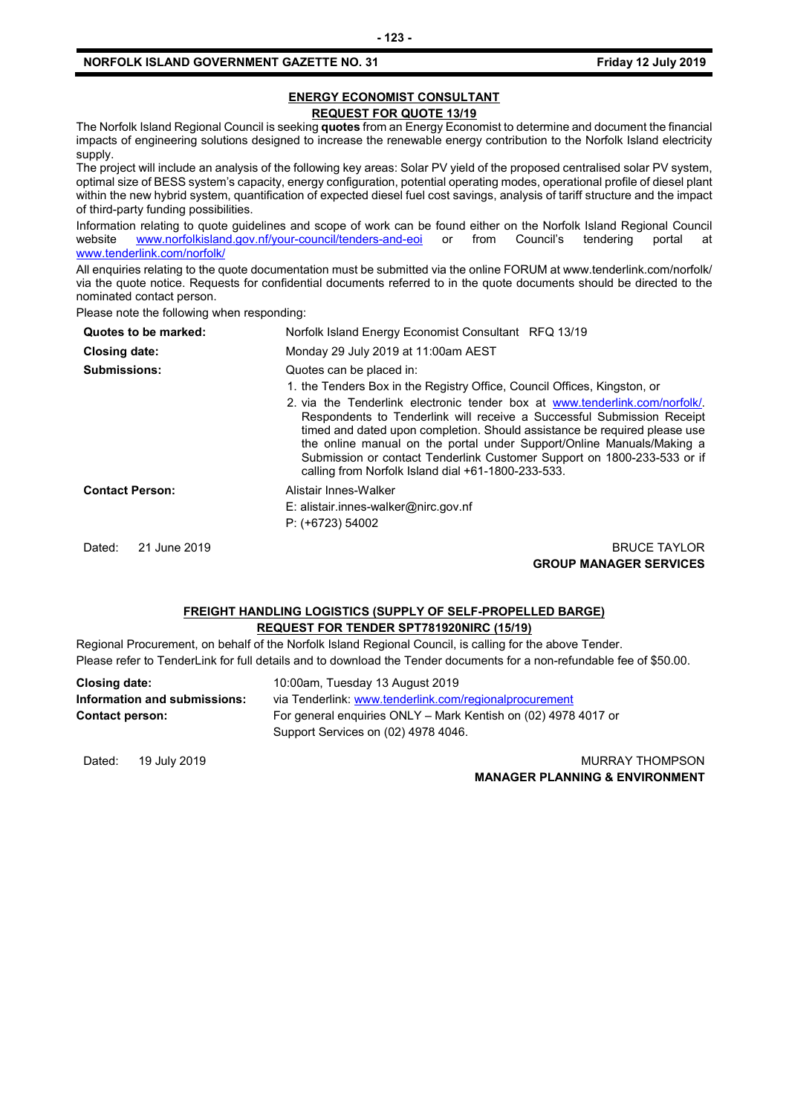# **ENERGY ECONOMIST CONSULTANT REQUEST FOR QUOTE 13/19**

The Norfolk Island Regional Council is seeking **quotes** from an Energy Economist to determine and document the financial impacts of engineering solutions designed to increase the renewable energy contribution to the Norfolk Island electricity supply.

The project will include an analysis of the following key areas: Solar PV yield of the proposed centralised solar PV system, optimal size of BESS system's capacity, energy configuration, potential operating modes, operational profile of diesel plant within the new hybrid system, quantification of expected diesel fuel cost savings, analysis of tariff structure and the impact of third-party funding possibilities.

Information relating to quote guidelines and scope of work can be found either on the Norfolk Island Regional Council<br>website www.norfolkisland.gov.nf/your-council/tenders-and-eoi or from Council's tendering portal at [www.norfolkisland.gov.nf/your-council/tenders-and-eoi](http://www.norfolkisland.gov.nf/your-council/tenders-and-eoi) or from Council's tendering portal at [www.tenderlink.com/norfolk/](http://www.tenderlink.com/norfolk/)

All enquiries relating to the quote documentation must be submitted via the online FORUM at www.tenderlink.com/norfolk/ via the quote notice. Requests for confidential documents referred to in the quote documents should be directed to the nominated contact person.

Please note the following when responding:

| Quotes to be marked:   | Norfolk Island Energy Economist Consultant RFQ 13/19                                                                                                                                                                                                                                                                                                                                                                                                                                                                                                 |
|------------------------|------------------------------------------------------------------------------------------------------------------------------------------------------------------------------------------------------------------------------------------------------------------------------------------------------------------------------------------------------------------------------------------------------------------------------------------------------------------------------------------------------------------------------------------------------|
| Closing date:          | Monday 29 July 2019 at 11:00am AEST                                                                                                                                                                                                                                                                                                                                                                                                                                                                                                                  |
| <b>Submissions:</b>    | Quotes can be placed in:<br>1. the Tenders Box in the Registry Office, Council Offices, Kingston, or<br>2. via the Tenderlink electronic tender box at www.tenderlink.com/norfolk/.<br>Respondents to Tenderlink will receive a Successful Submission Receipt<br>timed and dated upon completion. Should assistance be required please use<br>the online manual on the portal under Support/Online Manuals/Making a<br>Submission or contact Tenderlink Customer Support on 1800-233-533 or if<br>calling from Norfolk Island dial +61-1800-233-533. |
| <b>Contact Person:</b> | Alistair Innes-Walker<br>E: alistair.innes-walker@nirc.gov.nf<br>$P: (+6723) 54002$                                                                                                                                                                                                                                                                                                                                                                                                                                                                  |
| 21 June 2019<br>Dated: | <b>BRUCE TAYLOR</b><br><b>GROUP MANAGER SERVICES</b>                                                                                                                                                                                                                                                                                                                                                                                                                                                                                                 |

# **FREIGHT HANDLING LOGISTICS (SUPPLY OF SELF-PROPELLED BARGE) REQUEST FOR TENDER SPT781920NIRC (15/19)**

Regional Procurement, on behalf of the Norfolk Island Regional Council, is calling for the above Tender. Please refer to TenderLink for full details and to download the Tender documents for a non-refundable fee of \$50.00.

| Closing date:                | 10:00am, Tuesday 13 August 2019                                |
|------------------------------|----------------------------------------------------------------|
| Information and submissions: | via Tenderlink: www.tenderlink.com/regionalprocurement         |
| <b>Contact person:</b>       | For general enguiries ONLY – Mark Kentish on (02) 4978 4017 or |
|                              | Support Services on (02) 4978 4046.                            |

Dated: 19 July 2019 **MURRAY THOMPSON MANAGER PLANNING & ENVIRONMENT**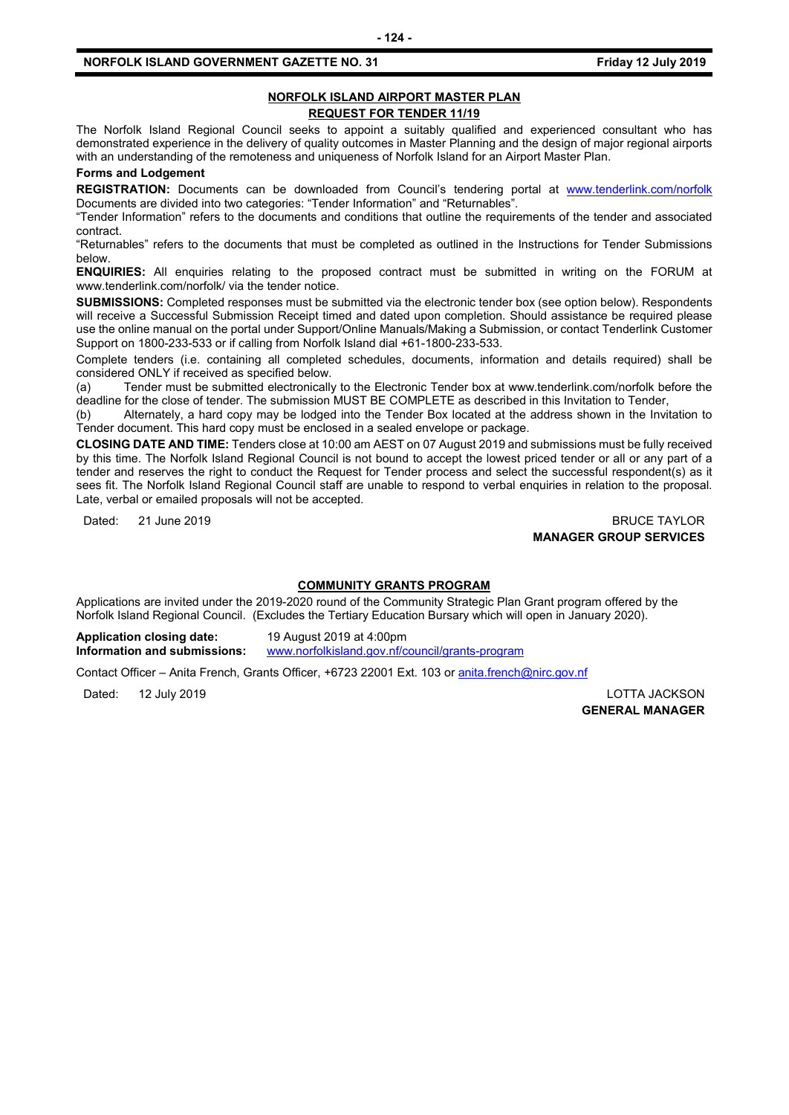# **NORFOLK ISLAND AIRPORT MASTER PLAN REQUEST FOR TENDER 11/19**

The Norfolk Island Regional Council seeks to appoint a suitably qualified and experienced consultant who has demonstrated experience in the delivery of quality outcomes in Master Planning and the design of major regional airports with an understanding of the remoteness and uniqueness of Norfolk Island for an Airport Master Plan.

**Forms and Lodgement**

**REGISTRATION:** Documents can be downloaded from Council's tendering portal at [www.tenderlink.com/norfolk](http://www.tenderlink.com/norfolk) Documents are divided into two categories: "Tender Information" and "Returnables".

"Tender Information" refers to the documents and conditions that outline the requirements of the tender and associated contract.

"Returnables" refers to the documents that must be completed as outlined in the Instructions for Tender Submissions below.

**ENQUIRIES:** All enquiries relating to the proposed contract must be submitted in writing on the FORUM at www.tenderlink.com/norfolk/ via the tender notice.

**SUBMISSIONS:** Completed responses must be submitted via the electronic tender box (see option below). Respondents will receive a Successful Submission Receipt timed and dated upon completion. Should assistance be required please use the online manual on the portal under Support/Online Manuals/Making a Submission, or contact Tenderlink Customer Support on 1800-233-533 or if calling from Norfolk Island dial +61-1800-233-533.

Complete tenders (i.e. containing all completed schedules, documents, information and details required) shall be considered ONLY if received as specified below.

(a) Tender must be submitted electronically to the Electronic Tender box at www.tenderlink.com/norfolk before the deadline for the close of tender. The submission MUST BE COMPLETE as described in this Invitation to Tender,

(b) Alternately, a hard copy may be lodged into the Tender Box located at the address shown in the Invitation to Tender document. This hard copy must be enclosed in a sealed envelope or package.

**CLOSING DATE AND TIME:** Tenders close at 10:00 am AEST on 07 August 2019 and submissions must be fully received by this time. The Norfolk Island Regional Council is not bound to accept the lowest priced tender or all or any part of a tender and reserves the right to conduct the Request for Tender process and select the successful respondent(s) as it sees fit. The Norfolk Island Regional Council staff are unable to respond to verbal enquiries in relation to the proposal. Late, verbal or emailed proposals will not be accepted.

Dated: 21 June 2019 **BRUCE TAYLOR MANAGER GROUP SERVICES**

#### **COMMUNITY GRANTS PROGRAM**

Applications are invited under the 2019-2020 round of the Community Strategic Plan Grant program offered by the Norfolk Island Regional Council. (Excludes the Tertiary Education Bursary which will open in January 2020).

**Application closing date:** 19 August 2019 at 4:00pm **Information and submissions:** [www.norfolkisland.gov.nf/council/grants-program](http://www.norfolkisland.gov.nf/council/grants-program)

Contact Officer – Anita French, Grants Officer, +6723 22001 Ext. 103 or [anita.french@nirc.gov.nf](mailto:anita.french@nirc.gov.nf)

Dated: 12 July 2019 LOTTA JACKSON **GENERAL MANAGER**